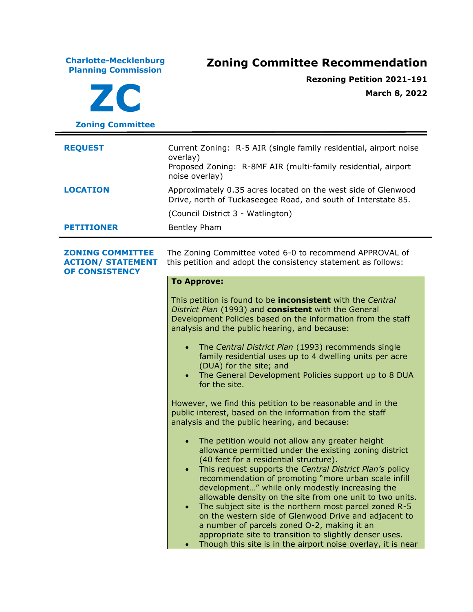**Charlotte-Mecklenburg Planning Commission Zoning Committee Recommendation ZC Zoning Committee Rezoning Petition 2021-191 March 8, 2022 REQUEST** Current Zoning: R-5 AIR (single family residential, airport noise overlay) Proposed Zoning: R-8MF AIR (multi-family residential, airport noise overlay) **LOCATION** Approximately 0.35 acres located on the west side of Glenwood Drive, north of Tuckaseegee Road, and south of Interstate 85. (Council District 3 - Watlington) **PETITIONER** Bentley Pham **ZONING COMMITTEE ACTION/ STATEMENT OF CONSISTENCY** The Zoning Committee voted 6-0 to recommend APPROVAL of this petition and adopt the consistency statement as follows: **To Approve:** This petition is found to be **inconsistent** with the *Central District Plan* (1993) and **consistent** with the General Development Policies based on the information from the staff analysis and the public hearing, and because: • The *Central District Plan* (1993) recommends single family residential uses up to 4 dwelling units per acre (DUA) for the site; and • The General Development Policies support up to 8 DUA for the site. However, we find this petition to be reasonable and in the public interest, based on the information from the staff analysis and the public hearing, and because: • The petition would not allow any greater height allowance permitted under the existing zoning district (40 feet for a residential structure). • This request supports the *Central District Plan's* policy recommendation of promoting "more urban scale infill development…" while only modestly increasing the allowable density on the site from one unit to two units. • The subject site is the northern most parcel zoned R-5 on the western side of Glenwood Drive and adjacent to a number of parcels zoned O-2, making it an appropriate site to transition to slightly denser uses. Though this site is in the airport noise overlay, it is near